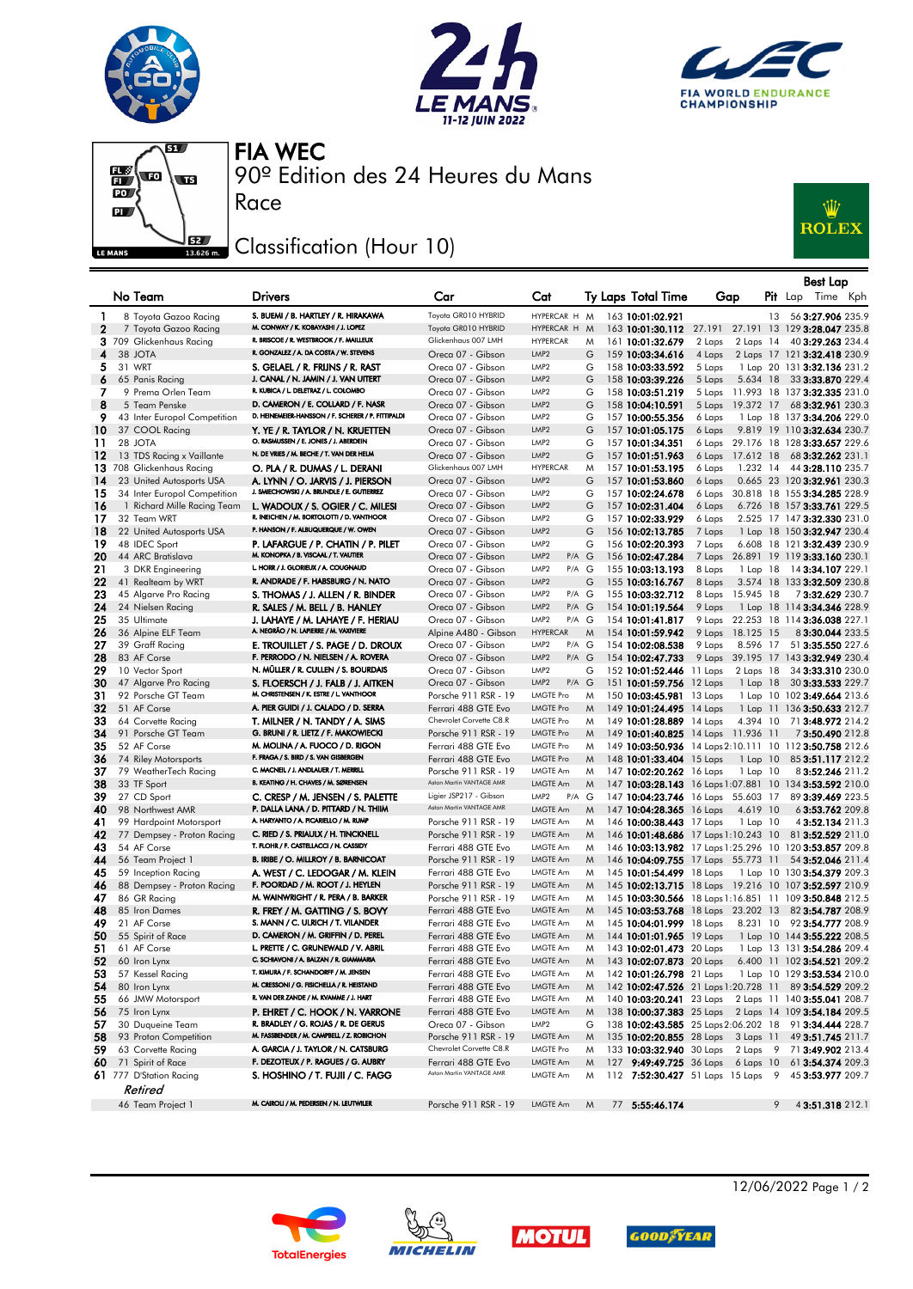







90º Edition des 24 Heures du Mans FIA WEC

## Classification (Hour 10)

Race



|              |                                                |                                                                                  |                                                 |                                               |        |                                                      |                  |                          |    | <b>Best Lap</b>                                                              |
|--------------|------------------------------------------------|----------------------------------------------------------------------------------|-------------------------------------------------|-----------------------------------------------|--------|------------------------------------------------------|------------------|--------------------------|----|------------------------------------------------------------------------------|
|              | No Team                                        | <b>Drivers</b>                                                                   | Car                                             | Cat                                           |        | Ty Laps Total Time                                   | Gap              |                          |    | $P$ it Lap<br>Time Kph                                                       |
| 1            | 8 Toyota Gazoo Racing                          | S. BUEMI / B. HARTLEY / R. HIRAKAWA                                              | Toyota GR010 HYBRID                             | HYPERCAR H M                                  |        | 163 10:01:02.921                                     |                  |                          | 13 | 56 3:27.906 235.9                                                            |
| $\mathbf{2}$ | 7 Toyota Gazoo Racing                          | M. CONWAY / K. KOBAYASHI / J. LOPEZ                                              | Toyota GR010 HYBRID                             | HYPERCAR H                                    | M      | 163 10:01:30.112                                     |                  |                          |    | 27.191 27.191 13 129 3:28.047 235.8                                          |
|              | 3 709 Glickenhaus Racing                       | R. BRISCOE / R. WESTBROOK / F. MAILLEUX                                          | Glickenhaus 007 LMH                             | <b>HYPERCAR</b>                               | M      | 161 10:01:32.679                                     | 2 Laps           | 2 Laps 14                |    | 40 3:29.263 234.4                                                            |
| 4            | 38 JOTA                                        | R. GONZALEZ / A. DA COSTA / W. STEVENS                                           | Oreca 07 - Gibson                               | LMP <sub>2</sub>                              | G      | 159 10:03:34.616                                     | 4 Laps           |                          |    | 2 Laps 17 121 3:32.418 230.9                                                 |
| 5.           | 31 WRT                                         | S. GELAEL / R. FRIJNS / R. RAST                                                  | Oreca 07 - Gibson                               | LMP <sub>2</sub>                              | G      | 158 10:03:33.592                                     | 5 Laps           |                          |    | 1 Lap 20 131 3:32.136 231.2                                                  |
| 6            | 65 Panis Racing                                | J. CANAL / N. JAMIN / J. VAN UITERT                                              | Oreca 07 - Gibson                               | LMP <sub>2</sub>                              | G      | 158 10:03:39.226                                     | 5 Laps           |                          |    | 5.634 18 33 3:33.870 229.4                                                   |
| 7            | 9 Prema Orlen Team                             | R. KUBICA / L. DELETRAZ / L. COLOMBO<br>D. CAMERON / E. COLLARD / F. NASR        | Oreca 07 - Gibson                               | LMP <sub>2</sub>                              | G      | 158 10:03:51.219                                     | 5 Laps           |                          |    | 11.993 18 137 3:32.335 231.0                                                 |
| 8            | 5 Team Penske                                  | D. HEINEMEIER-HANSSON / F. SCHERER / P. FITTIPALDI                               | Oreca 07 - Gibson<br>Oreca 07 - Gibson          | LMP <sub>2</sub><br>LMP <sub>2</sub>          | G<br>G | 158 10:04:10.591<br>157 10:00:55.356                 | 5 Laps           | 19.372 17                |    | 68 3:32.961 230.3                                                            |
| 9<br>10      | 43 Inter Europol Competition<br>37 COOL Racing | Y. YE / R. TAYLOR / N. KRUETTEN                                                  | Oreca 07 - Gibson                               | LMP <sub>2</sub>                              | G      | 157 10:01:05.175                                     | 6 Laps<br>6 Laps |                          |    | 1 Lap 18 137 3:34.206 229.0<br>9.819 19 110 3:32.634 230.7                   |
| 11           | 28 JOTA                                        | O. RASMUSSEN / E. JONES / J. ABERDEIN                                            | Oreca 07 - Gibson                               | LMP <sub>2</sub>                              | G      | 157 10:01:34.351                                     |                  |                          |    | 6 Laps 29.176 18 128 3:33.657 229.6                                          |
| 12           | 13 TDS Racing x Vaillante                      | N. DE VRIES / M. BECHE / T. VAN DER HELM                                         | Oreca 07 - Gibson                               | LMP <sub>2</sub>                              | G      | 157 10:01:51.963                                     | 6 Laps           | 17.612 18                |    | 68 <b>3:32.262</b> 231.1                                                     |
|              | 13 708 Glickenhaus Racing                      | O. PLA / R. DUMAS / L. DERANI                                                    | Glickenhaus 007 LMH                             | <b>HYPERCAR</b>                               | M      | 157 10:01:53.195                                     | 6 Laps           | 1.232 14                 |    | 44 3:28.110 235.7                                                            |
| 14           | 23 United Autosports USA                       | A. LYNN / O. JARVIS / J. PIERSON                                                 | Oreca 07 - Gibson                               | LMP <sub>2</sub>                              | G      | 157 10:01:53.860                                     | 6 Laps           |                          |    | 0.665 23 120 3:32.961 230.3                                                  |
| 15           | 34 Inter Europol Competition                   | J. SMIECHOWSKI / A. BRUNDLE / E. GUTIERREZ                                       | Oreca 07 - Gibson                               | LMP <sub>2</sub>                              | G      | 157 10:02:24.678                                     | 6 Laps           |                          |    | 30.818 18 155 3:34.285 228.9                                                 |
| 16           | 1 Richard Mille Racing Team                    | L. WADOUX / S. OGIER / C. MILESI                                                 | Oreca 07 - Gibson                               | LMP <sub>2</sub>                              | G      | 157 10:02:31.404                                     | 6 Laps           |                          |    | 6.726 18 157 3:33.761 229.5                                                  |
| 17           | 32 Team WRT                                    | R. INEICHEN / M. BORTOLOTTI / D. VANTHOOR                                        | Oreca 07 - Gibson                               | LMP <sub>2</sub>                              | G      | 157 10:02:33.929                                     | 6 Laps           |                          |    | 2.525 17 147 3:32.330 231.0                                                  |
| 18           | 22 United Autosports USA                       | P. HANSON / F. ALBUQUERQUE / W. OWEN                                             | Oreca 07 - Gibson                               | LMP <sub>2</sub>                              | G      | 156 10:02:13.785                                     | 7 Laps           |                          |    | 1 Lap 18 150 3:32.947 230.4                                                  |
| 19           | 48 IDEC Sport                                  | P. LAFARGUE / P. CHATIN / P. PILET                                               | Oreca 07 - Gibson                               | LMP <sub>2</sub>                              | G      | 156 10:02:20.393                                     | 7 Laps           |                          |    | 6.608 18 121 3:32.439 230.9                                                  |
| 20           | 44 ARC Bratislava                              | M. KONOPKA / B. VISCAAL / T. VAUTIER<br>L. HORR / J. GLORIEUX / A. COUGNAUD      | Oreca 07 - Gibson                               | LMP <sub>2</sub><br>$P/A$ $G$                 |        | 156 10:02:47.284                                     | 7 Laps           |                          |    | 26.891 19 119 3:33.160 230.1                                                 |
| 21           | 3 DKR Engineering                              |                                                                                  | Oreca 07 - Gibson                               | P/A G<br>LMP <sub>2</sub>                     |        | 155 10:03:13.193                                     | 8 Laps           |                          |    | 1 Lap 18 14 3:34.107 229.1                                                   |
| 22<br>23     | 41 Realteam by WRT                             | R. ANDRADE / F. HABSBURG / N. NATO                                               | Oreca 07 - Gibson<br>Oreca 07 - Gibson          | LMP <sub>2</sub><br>P/A G<br>LMP <sub>2</sub> | G      | 155 10:03:16.767                                     | 8 Laps<br>8 Laps | 15.945 18                |    | 3.574 18 133 3:32.509 230.8<br>73:32.629 230.7                               |
| 24           | 45 Algarve Pro Racing<br>24 Nielsen Racing     | S. THOMAS / J. ALLEN / R. BINDER<br>R. SALES / M. BELL / B. HANLEY               | Oreca 07 - Gibson                               | LMP <sub>2</sub><br>$P/A$ $G$                 |        | 155 10:03:32.712<br>154 10:01:19.564                 | 9 Laps           |                          |    | 1 Lap 18 114 3:34.346 228.9                                                  |
| 25           | 35 Ultimate                                    | J. LAHAYE / M. LAHAYE / F. HERIAU                                                | Oreca 07 - Gibson                               | LMP <sub>2</sub><br>P/A G                     |        | 154 10:01:41.817                                     |                  |                          |    | 9 Laps 22.253 18 114 3:36.038 227.1                                          |
| 26           | 36 Alpine ELF Team                             | A. NEGRÃO / N. LAPIERRE / M. VAXIVIERE                                           | Alpine A480 - Gibson                            | <b>HYPERCAR</b>                               | M      | 154 10:01:59.942                                     | 9 Laps           | 18.125 15                |    | 83:30.044 233.5                                                              |
| 27           | 39 Graff Racing                                | E. TROUILLET / S. PAGE / D. DROUX                                                | Oreca 07 - Gibson                               | P/A G<br>LMP2                                 |        | 154 10:02:08.538                                     | 9 Laps           | 8.596 17                 |    | 51 3:35.550 227.6                                                            |
| 28           | 83 AF Corse                                    | F. PERRODO / N. NIELSEN / A. ROVERA                                              | Oreca 07 - Gibson                               | LMP <sub>2</sub><br>$P/A$ $G$                 |        | 154 10:02:47.733                                     |                  |                          |    | 9 Laps 39.195 17 143 3:32.949 230.4                                          |
| 29           | 10 Vector Sport                                | N. MÜLLER / R. CULLEN / S. BOURDAIS                                              | Oreca 07 - Gibson                               | LMP <sub>2</sub>                              | G      | 152 10:01:52.446                                     | 11 Laps          | $2$ Laps $18$            |    | 34 3:33.310 230.0                                                            |
| 30           | 47 Algarve Pro Racing                          | S. FLOERSCH / J. FALB / J. AITKEN                                                | Oreca 07 - Gibson                               | LMP <sub>2</sub><br>$P/A$ $G$                 |        | 151 10:01:59.756 12 Laps                             |                  | 1 Lap 18                 |    | 30 3:33.533 229.7                                                            |
| 31           | 92 Porsche GT Team                             | M. CHRISTENSEN / K. ESTRE / L. VANTHOOR                                          | Porsche 911 RSR - 19                            | <b>LMGTE Pro</b>                              | M      | 150 10:03:45.981 13 Laps                             |                  |                          |    | 1 Lap 10 102 3:49.664 213.6                                                  |
| 32           | 51 AF Corse                                    | A. PIER GUIDI / J. CALADO / D. SERRA                                             | Ferrari 488 GTE Evo                             | <b>LMGTE Pro</b>                              | M      | 149 10:01:24.495 14 Laps                             |                  |                          |    | 1 Lap 11 136 3:50.633 212.7                                                  |
| 33           | 64 Corvette Racing                             | T. MILNER / N. TANDY / A. SIMS                                                   | Chevrolet Corvette C8.R                         | LMGTE Pro                                     | M      | 149 10:01:28.889 14 Laps                             |                  | 4.394 10                 |    | 71 3:48.972 214.2                                                            |
| 34           | 91 Porsche GT Team                             | G. BRUNI / R. LIETZ / F. MAKOWIECKI                                              | Porsche 911 RSR - 19                            | <b>LMGTE Pro</b>                              | M      | 149 10:01:40.825 14 Laps 11.936 11                   |                  |                          |    | 73:50.490 212.8                                                              |
| 35           | 52 AF Corse                                    | M. MOLINA / A. FUOCO / D. RIGON<br>F. FRAGA / S. BIRD / S. VAN GISBERGEN         | Ferrari 488 GTE Evo                             | LMGTE Pro<br><b>LMGTE Pro</b>                 | M      |                                                      |                  |                          |    | 149 10:03:50.936 14 Laps 2:10.111 10 112 3:50.758 212.6                      |
| 36<br>37     | 74 Riley Motorsports<br>79 WeatherTech Racing  | C. MACNEIL / J. ANDLAUER / T. MERRILL                                            | Ferrari 488 GTE Evo<br>Porsche 911 RSR - 19     | LMGTE Am                                      | M<br>M | 148 10:01:33.404 15 Laps<br>147 10:02:20.262 16 Laps |                  | $1$ Lap $10$<br>1 Lap 10 |    | 85 3:51.117 212.2<br>8 3:52.246 211.2                                        |
| 38           | 33 TF Sport                                    | B. KEATING / H. CHAVES / M. SØRENSEN                                             | Aston Martin VANTAGE AMR                        | LMGTE Am                                      | M      |                                                      |                  |                          |    | 147 10:03:28.143 16 Laps 1:07.881 10 134 3:53.592 210.0                      |
| 39           | 27 CD Sport                                    | C. CRESP / M. JENSEN / S. PALETTE                                                | Ligier JSP217 - Gibson                          | $P/A$ $G$<br>LMP2                             |        | 147 10:04:23.746 16 Laps 55.603 17                   |                  |                          |    | 89 3:39.469 223.5                                                            |
| 40           | 98 Northwest AMR                               | P. DALLA LANA / D. PITTARD / N. THIIM                                            | Aston Martin VANTAGE AMR                        | <b>LMGTE Am</b>                               | M      | 147 10:04:28.365 16 Laps                             |                  | 4.619 10                 |    | 63:53.762 209.8                                                              |
| 41           | 99 Hardpoint Motorsport                        | A. HARYANTO / A. PICARIELLO / M. RUMP                                            | Porsche 911 RSR - 19                            | LMGTE Am                                      | M      | 146 10:00:38.443 17 Laps                             |                  | 1 Lap 10                 |    | 4 3:52.134 211.3                                                             |
| 42           | 77 Dempsey - Proton Racing                     | C. RIED / S. PRIAULX / H. TINCKNELL                                              | Porsche 911 RSR - 19                            | LMGTE Am                                      | M      | 146 10:01:48.686 17 Laps 1:10.243 10                 |                  |                          |    | 81 3:52.529 211.0                                                            |
| 43           | 54 AF Corse                                    | T. FLOHR / F. CASTELLACCI / N. CASSIDY                                           | Ferrari 488 GTE Evo                             | LMGTE Am                                      | M      |                                                      |                  |                          |    | 146 10:03:13.982 17 Laps 1:25.296 10 120 3:53.857 209.8                      |
| 44           | 56 Team Project 1                              | B. IRIBE / O. MILLROY / B. BARNICOAT                                             | Porsche 911 RSR - 19                            | LMGTE Am                                      | M      | 146 10:04:09.755 17 Laps 55.773 11                   |                  |                          |    | 54 3:52.046 211.4                                                            |
| 45           | 59 Inception Racing                            | A. WEST / C. LEDOGAR / M. KLEIN                                                  | Ferrari 488 GTE Evo                             | LMGTE Am                                      | M      | 145 10:01:54.499 18 Laps                             |                  |                          |    | 1 Lap 10 130 3:54.379 209.3                                                  |
| 46           | 88 Dempsey - Proton Racing                     | F. POORDAD / M. ROOT / J. HEYLEN<br>M. WAINWRIGHT / R. PERA / B. BARKER          | Porsche 911 RSR - 19                            | LMGTE Am<br><b>LMGTE Am</b>                   | M      |                                                      |                  |                          |    | 145 10:02:13.715 18 Laps 19.216 10 107 3:52.597 210.9                        |
| 47<br>48     | 86 GR Racing<br>85 Iron Dames                  | R. FREY / M. GATTING / S. BOVY                                                   | Porsche 911 RSR - 19<br>Ferrari 488 GTE Evo     | LMGTE Am                                      | M<br>M | 145 10:03:53.768 18 Laps 23.202 13                   |                  |                          |    | 145 10:03:30.566 18 Laps 1:16.851 11 109 3:50.848 212.5<br>82 3:54.787 208.9 |
| 49           | 21 AF Corse                                    | S. MANN / C. ULRICH / T. VILANDER                                                | Ferrari 488 GTE Evo                             | LMGTE Am                                      | M      | 145 10:04:01.999 18 Laps                             |                  | 8.231 10                 |    | 92 3:54.777 208.9                                                            |
| 50           | 55 Spirit of Race                              | D. CAMERON / M. GRIFFIN / D. PEREL                                               | Ferrari 488 GTE Evo                             | LMGTE Am                                      | M      | 144 10:01:01.965 19 Laps                             |                  |                          |    | 1 Lap 10 144 3:55.222 208.5                                                  |
| 51           | 61 AF Corse                                    | L. PRETTE / C. GRUNEWALD / V. ABRIL                                              | Ferrari 488 GTE Evo                             | LMGTE Am                                      | M      | 143 10:02:01.473 20 Laps                             |                  |                          |    | 1 Lap 13 131 3:54.286 209.4                                                  |
| 52           | 60 Iron Lynx                                   | C. SCHIAVONI / A. BALZAN / R. GIAMMARIA                                          | Ferrari 488 GTE Evo                             | LMGTE Am                                      | M      |                                                      |                  |                          |    | 143 10:02:07.873 20 Laps 6.400 11 102 3:54.521 209.2                         |
| 53           | 57 Kessel Racing                               | T. KIMURA / F. SCHANDORFF / M. JENSEN                                            | Ferrari 488 GTE Evo                             | LMGTE Am                                      | M      | 142 10:01:26.798 21 Laps                             |                  |                          |    | 1 Lap 10 129 3:53.534 210.0                                                  |
| 54           | 80 Iron Lynx                                   | M. CRESSONI / G. FISICHELLA / R. HEISTAND                                        | Ferrari 488 GTE Evo                             | LMGTE Am                                      | M      |                                                      |                  |                          |    | 142 10:02:47.526 21 Laps 1:20.728 11 89 3:54.529 209.2                       |
| 55           | 66 JMW Motorsport                              | R. VAN DER ZANDE / M. KVAMME / J. HART                                           | Ferrari 488 GTE Evo                             | LMGTE Am                                      | M      |                                                      |                  |                          |    | 140 10:03:20.241 23 Laps 2 Laps 11 140 3:55.041 208.7                        |
| 56           | 75 Iron Lynx                                   | P. EHRET / C. HOOK / N. VARRONE                                                  | Ferrari 488 GTE Evo                             | LMGTE Am                                      | M      |                                                      |                  |                          |    | 138 10:00:37.383 25 Laps 2 Laps 14 109 3:54.184 209.5                        |
| 57           | 30 Duqueine Team                               | R. BRADLEY / G. ROJAS / R. DE GERUS<br>M. FASSBENDER / M. CAMPBELL / Z. ROBICHON | Oreca 07 - Gibson                               | LMP2                                          | G      |                                                      |                  |                          |    | 138 10:02:43.585 25 Laps 2:06.202 18 91 3:34.444 228.7                       |
| 58           | 93 Proton Competition                          | A. GARCIA / J. TAYLOR / N. CATSBURG                                              | Porsche 911 RSR - 19<br>Chevrolet Corvette C8.R | LMGTE Am                                      | M      | 135 10:02:20.855 28 Laps 3 Laps 11                   |                  |                          |    | 49 3:51.745 211.7                                                            |
| 59<br>60     | 63 Corvette Racing<br>71 Spirit of Race        | F. DEZOTEUX / P. RAGUES / G. AUBRY                                               | Ferrari 488 GTE Evo                             | LMGTE Pro<br>LMGTE Am                         | M<br>M | 127 9:49:49.725 36 Laps 6 Laps 10                    |                  |                          |    | 133 10:03:32.940 30 Laps 2 Laps 9 71 3:49.902 213.4<br>61 3:54.374 209.3     |
|              | 61 777 D'Station Racing                        | S. HOSHINO / T. FUJII / C. FAGG                                                  | Aston Martin VANTAGE AMR                        | LMGTE Am                                      | M      | 112 7:52:30.427 51 Laps 15 Laps 9                    |                  |                          |    | 45 3:53.977 209.7                                                            |
|              | Retired                                        |                                                                                  |                                                 |                                               |        |                                                      |                  |                          |    |                                                                              |
|              | 46 Team Project 1                              | M. CAIROLI / M. PEDERSEN / N. LEUTWILER                                          | Porsche 911 RSR - 19                            | LMGTE Am                                      | M      | 77 5:55:46.174                                       |                  |                          | 9  | 43:51.318 212.1                                                              |
|              |                                                |                                                                                  |                                                 |                                               |        |                                                      |                  |                          |    |                                                                              |